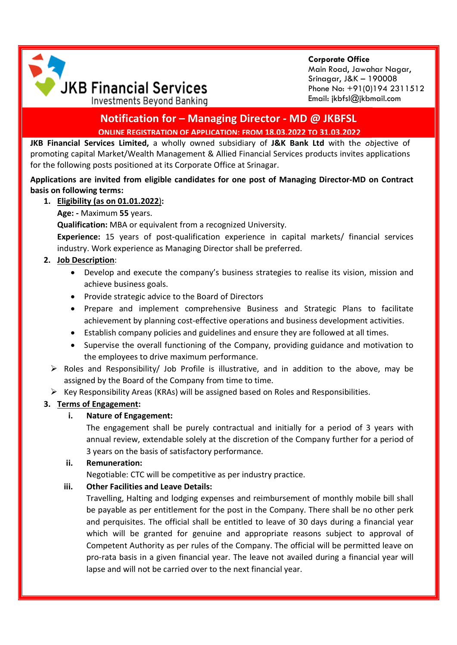

**Corporate Office** Main Road, Jawahar Nagar, Srinagar, J&K – 190008 Phone No: +91(0)194 2311512 Email: jkbfsl@jkbmail.com

# **Notification for – Managing Director - MD @ JKBFSL ONLINE REGISTRATION OF APPLICATION: FROM 18.03.2022 TO 31.03.2022**

**JKB Financial Services Limited,** a wholly owned subsidiary of **J&K Bank Ltd** with the objective of promoting capital Market/Wealth Management & Allied Financial Services products invites applications for the following posts positioned at its Corporate Office at Srinagar.

### **Applications are invited from eligible candidates for one post of Managing Director-MD on Contract basis on following terms:**

## **1. Eligibility (as on 01.01.2022**)**:**

## **Age: -** Maximum **55** years.

**Qualification:** MBA or equivalent from a recognized University.

**Experience:** 15 years of post-qualification experience in capital markets/ financial services industry. Work experience as Managing Director shall be preferred.

## **2. Job Description**:

- Develop and execute the company's business strategies to realise its vision, mission and achieve business goals.
- Provide strategic advice to the Board of Directors
- Prepare and implement comprehensive Business and Strategic Plans to facilitate achievement by planning cost-effective operations and business development activities.
- Establish company policies and guidelines and ensure they are followed at all times.
- Supervise the overall functioning of the Company, providing guidance and motivation to the employees to drive maximum performance.
- $\triangleright$  Roles and Responsibility/ Job Profile is illustrative, and in addition to the above, may be assigned by the Board of the Company from time to time.

 $\triangleright$  Key Responsibility Areas (KRAs) will be assigned based on Roles and Responsibilities.

## **3. Terms of Engagement:**

## **i. Nature of Engagement:**

The engagement shall be purely contractual and initially for a period of 3 years with annual review, extendable solely at the discretion of the Company further for a period of 3 years on the basis of satisfactory performance.

### **ii. Remuneration:**

Negotiable: CTC will be competitive as per industry practice.

### **iii. Other Facilities and Leave Details:**

Travelling, Halting and lodging expenses and reimbursement of monthly mobile bill shall be payable as per entitlement for the post in the Company. There shall be no other perk and perquisites. The official shall be entitled to leave of 30 days during a financial year which will be granted for genuine and appropriate reasons subject to approval of Competent Authority as per rules of the Company. The official will be permitted leave on pro-rata basis in a given financial year. The leave not availed during a financial year will lapse and will not be carried over to the next financial year.